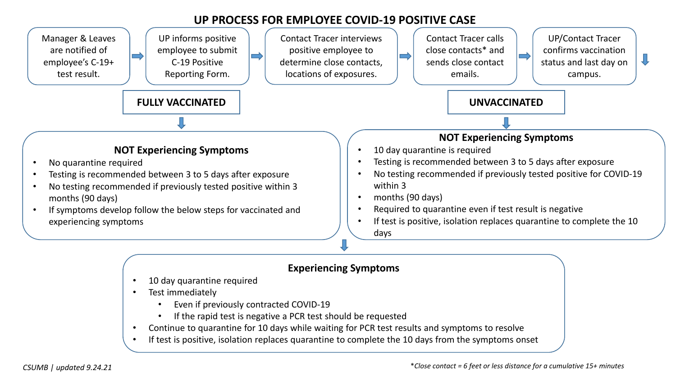## **UP PROCESS FOR EMPLOYEE COVID-19 POSITIVE CASE**



- 10 day quarantine required
- Test immediately
	- Even if previously contracted COVID-19
	- If the rapid test is negative a PCR test should be requested
- Continue to quarantine for 10 days while waiting for PCR test results and symptoms to resolve
- If test is positive, isolation replaces quarantine to complete the 10 days from the symptoms onset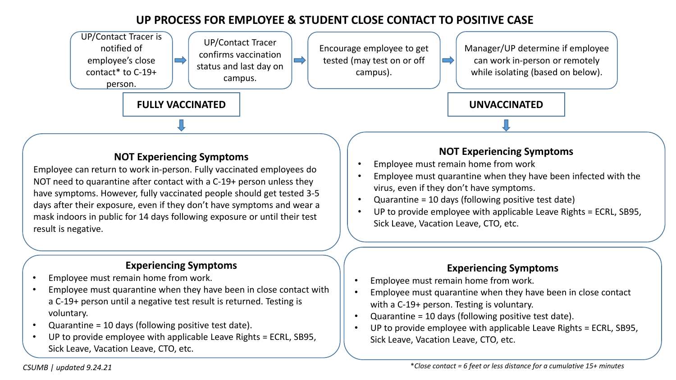# **UP PROCESS FOR EMPLOYEE & STUDENT CLOSE CONTACT TO POSITIVE CASE**



#### **NOT Experiencing Symptoms**

Employee can return to work in-person. Fully vaccinated employees do NOT need to quarantine after contact with a C-19+ person unless they have symptoms. However, fully vaccinated people should get tested 3-5 days after their exposure, even if they don't have symptoms and wear a mask indoors in public for 14 days following exposure or until their test result is negative.

#### **Experiencing Symptoms**

- Employee must remain home from work.
- Employee must quarantine when they have been in close contact with a C-19+ person until a negative test result is returned. Testing is voluntary.
- Quarantine = 10 days (following positive test date).
- UP to provide employee with applicable Leave Rights = ECRL, SB95, Sick Leave, Vacation Leave, CTO, etc.

### **NOT Experiencing Symptoms**

- Employee must remain home from work
- Employee must quarantine when they have been infected with the virus, even if they don't have symptoms.
- Quarantine = 10 days (following positive test date)
- UP to provide employee with applicable Leave Rights = ECRL, SB95, Sick Leave, Vacation Leave, CTO, etc.

#### **Experiencing Symptoms**

- Employee must remain home from work.
- Employee must quarantine when they have been in close contact with a C-19+ person. Testing is voluntary.
- Quarantine = 10 days (following positive test date).
- UP to provide employee with applicable Leave Rights = ECRL, SB95, Sick Leave, Vacation Leave, CTO, etc.